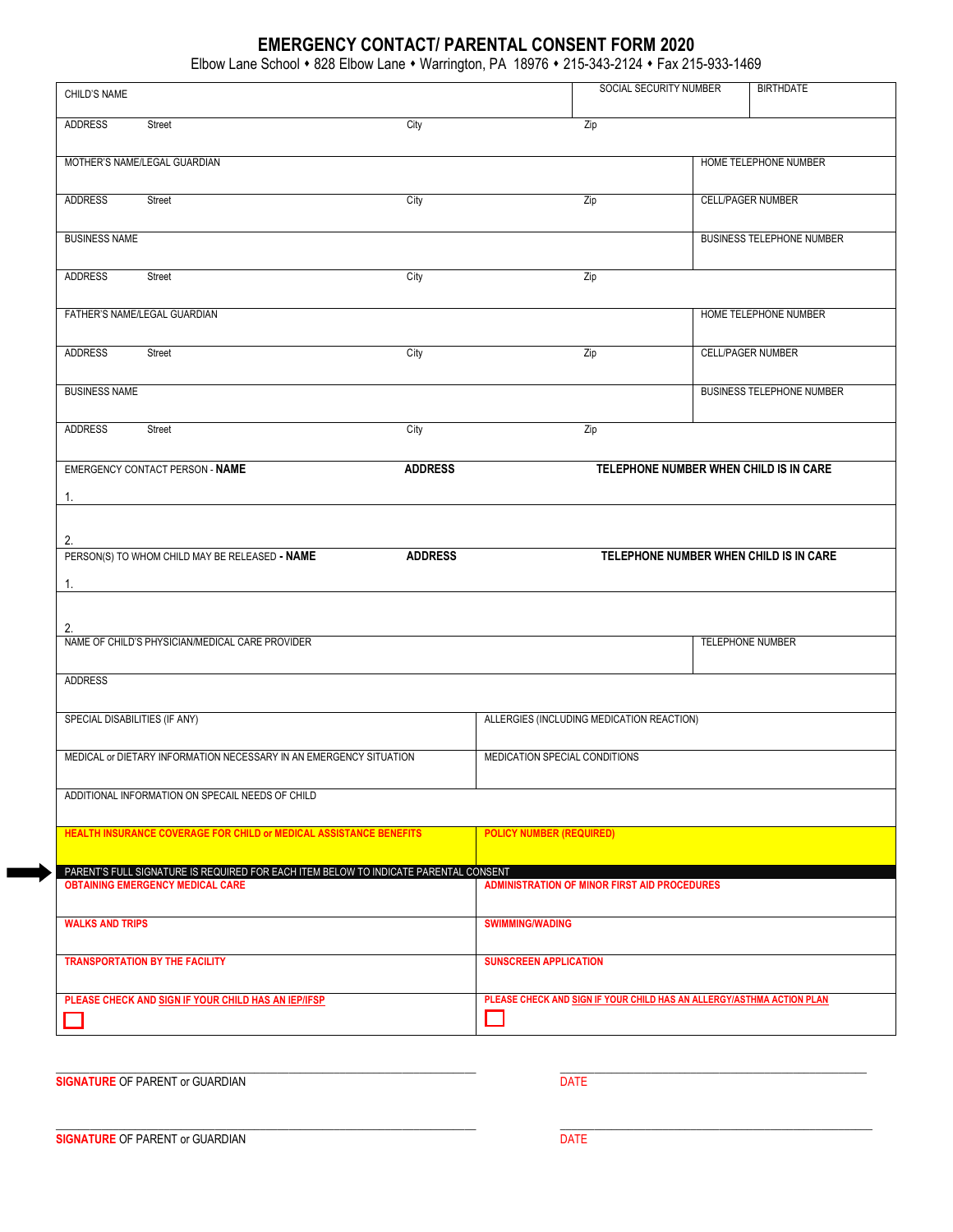# **EMERGENCY CONTACT/ PARENTAL CONSENT FORM 2020**

Elbow Lane School • 828 Elbow Lane • Warrington, PA 18976 • 215-343-2124 • Fax 215-933-1469

| CHILD'S NAME                                     |                                                                                                                                 |                |                                 | SOCIAL SECURITY NUMBER                                                | <b>BIRTHDATE</b>                       |
|--------------------------------------------------|---------------------------------------------------------------------------------------------------------------------------------|----------------|---------------------------------|-----------------------------------------------------------------------|----------------------------------------|
| <b>ADDRESS</b>                                   | Street                                                                                                                          | City           |                                 | Zip                                                                   |                                        |
|                                                  | MOTHER'S NAME/LEGAL GUARDIAN                                                                                                    |                |                                 |                                                                       | HOME TELEPHONE NUMBER                  |
|                                                  |                                                                                                                                 |                |                                 |                                                                       |                                        |
| <b>ADDRESS</b>                                   | Street                                                                                                                          | City           |                                 | Zip                                                                   | <b>CELL/PAGER NUMBER</b>               |
| <b>BUSINESS NAME</b>                             |                                                                                                                                 |                |                                 |                                                                       | BUSINESS TELEPHONE NUMBER              |
| <b>ADDRESS</b>                                   | Street                                                                                                                          | City           |                                 | Zip                                                                   |                                        |
|                                                  | FATHER'S NAME/LEGAL GUARDIAN                                                                                                    |                |                                 |                                                                       | HOME TELEPHONE NUMBER                  |
| <b>ADDRESS</b>                                   | Street                                                                                                                          | City           |                                 | Zip                                                                   | <b>CELL/PAGER NUMBER</b>               |
| <b>BUSINESS NAME</b>                             |                                                                                                                                 |                |                                 |                                                                       | <b>BUSINESS TELEPHONE NUMBER</b>       |
| <b>ADDRESS</b>                                   | Street                                                                                                                          | City           |                                 | Zip                                                                   |                                        |
|                                                  | EMERGENCY CONTACT PERSON - NAME                                                                                                 | <b>ADDRESS</b> |                                 | TELEPHONE NUMBER WHEN CHILD IS IN CARE                                |                                        |
| 1.                                               |                                                                                                                                 |                |                                 |                                                                       |                                        |
| 2.                                               |                                                                                                                                 |                |                                 |                                                                       |                                        |
|                                                  | PERSON(S) TO WHOM CHILD MAY BE RELEASED - NAME                                                                                  | <b>ADDRESS</b> |                                 |                                                                       | TELEPHONE NUMBER WHEN CHILD IS IN CARE |
| 1.                                               |                                                                                                                                 |                |                                 |                                                                       |                                        |
| 2.                                               | NAME OF CHILD'S PHYSICIAN/MEDICAL CARE PROVIDER                                                                                 |                |                                 |                                                                       | TELEPHONE NUMBER                       |
|                                                  |                                                                                                                                 |                |                                 |                                                                       |                                        |
| <b>ADDRESS</b>                                   |                                                                                                                                 |                |                                 |                                                                       |                                        |
| SPECIAL DISABILITIES (IF ANY)                    |                                                                                                                                 |                |                                 | ALLERGIES (INCLUDING MEDICATION REACTION)                             |                                        |
|                                                  | MEDICAL or DIETARY INFORMATION NECESSARY IN AN EMERGENCY SITUATION                                                              |                | MEDICATION SPECIAL CONDITIONS   |                                                                       |                                        |
| ADDITIONAL INFORMATION ON SPECAIL NEEDS OF CHILD |                                                                                                                                 |                |                                 |                                                                       |                                        |
|                                                  | HEALTH INSURANCE COVERAGE FOR CHILD or MEDICAL ASSISTANCE BENEFITS                                                              |                | <b>POLICY NUMBER (REQUIRED)</b> |                                                                       |                                        |
|                                                  | PARENT'S FULL SIGNATURE IS REQUIRED FOR EACH ITEM BELOW TO INDICATE PARENTAL CONSENT<br><b>OBTAINING EMERGENCY MEDICAL CARE</b> |                |                                 | <b>ADMINISTRATION OF MINOR FIRST AID PROCEDURES</b>                   |                                        |
|                                                  |                                                                                                                                 |                |                                 |                                                                       |                                        |
| <b>WALKS AND TRIPS</b>                           |                                                                                                                                 |                | <b>SWIMMING/WADING</b>          |                                                                       |                                        |
|                                                  | <b>TRANSPORTATION BY THE FACILITY</b>                                                                                           |                | <b>SUNSCREEN APPLICATION</b>    |                                                                       |                                        |
|                                                  | PLEASE CHECK AND SIGN IF YOUR CHILD HAS AN IEP/IFSP                                                                             |                |                                 | PLEASE CHECK AND SIGN IF YOUR CHILD HAS AN ALLERGY/ASTHMA ACTION PLAN |                                        |
|                                                  |                                                                                                                                 |                |                                 |                                                                       |                                        |

**SIGNATURE** OF PARENT or GUARDIAN

 $\Box$ 

 $\Box$